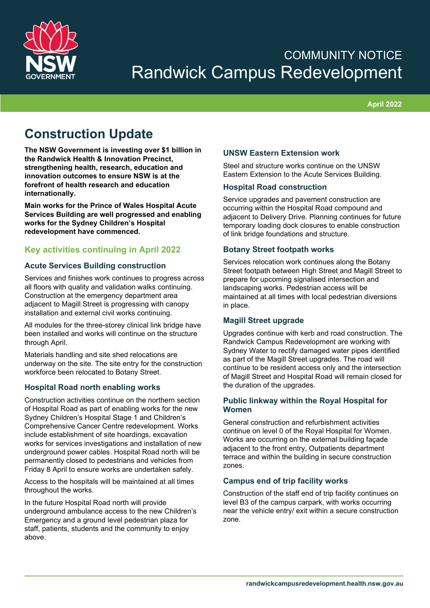

# COMMUNITY NOTICE Randwick Campus Redevelopment

**April 2022**

## **Construction Update**

**The NSW Government is investing over \$1 billion in the Randwick Health & Innovation Precinct, strengthening health, research, education and innovation outcomes to ensure NSW is at the forefront of health research and education internationally.** 

**Main works for the Prince of Wales Hospital Acute Services Building are well progressed and enabling works for the Sydney Children's Hospital redevelopment have commenced.**

### **Key activities continuing in April 2022**

#### **Acute Services Building construction**

Services and finishes work continues to progress across all floors with quality and validation walks continuing. Construction at the emergency department area adjacent to Magill Street is progressing with canopy installation and external civil works continuing.

All modules for the three-storey clinical link bridge have been installed and works will continue on the structure through April.

Materials handling and site shed relocations are underway on the site. The site entry for the construction workforce been relocated to Botany Street.

#### **Hospital Road north enabling works**

Construction activities continue on the northern section of Hospital Road as part of enabling works for the new Sydney Children's Hospital Stage 1 and Children's Comprehensive Cancer Centre redevelopment. Works include establishment of site hoardings, excavation works for services investigations and installation of new underground power cables. Hospital Road north will be permanently closed to pedestrians and vehicles from Friday 8 April to ensure works are undertaken safely.

Access to the hospitals will be maintained at all times throughout the works.

In the future Hospital Road north will provide underground ambulance access to the new Children's Emergency and a ground level pedestrian plaza for staff, patients, students and the community to enjoy above.

#### **UNSW Eastern Extension work**

Steel and structure works continue on the UNSW Eastern Extension to the Acute Services Building.

#### **Hospital Road construction**

Service upgrades and pavement construction are occurring within the Hospital Road compound and adjacent to Delivery Drive. Planning continues for future temporary loading dock closures to enable construction of link bridge foundations and structure.

#### **Botany Street footpath works**

Services relocation work continues along the Botany Street footpath between High Street and Magill Street to prepare for upcoming signalised intersection and landscaping works. Pedestrian access will be maintained at all times with local pedestrian diversions in place.

#### **Magill Street upgrade**

Upgrades continue with kerb and road construction. The Randwick Campus Redevelopment are working with Sydney Water to rectify damaged water pipes identified as part of the Magill Street upgrades. The road will continue to be resident access only and the intersection of Magill Street and Hospital Road will remain closed for the duration of the upgrades.

#### **Public linkway within the Royal Hospital for Women**

General construction and refurbishment activities continue on level 0 of the Royal Hospital for Women. Works are occurring on the external building façade adjacent to the front entry, Outpatients department terrace and within the building in secure construction zones.

#### **Campus end of trip facility works**

Construction of the staff end of trip facility continues on level B3 of the campus carpark, with works occurring near the vehicle entry/ exit within a secure construction zone.